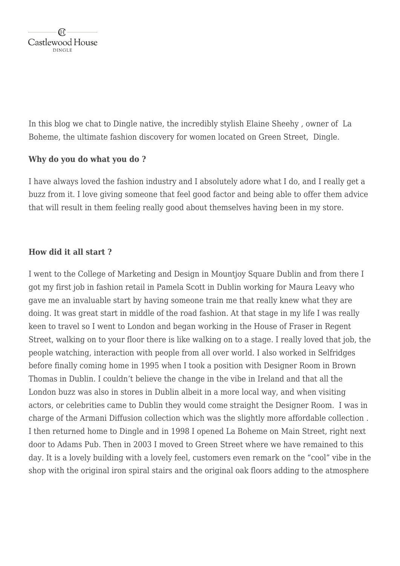In this blog we chat to Dingle native, the incredibly stylish Elaine Sheehy , owner of La Boheme, the ultimate fashion discovery for women located on Green Street, Dingle.

#### **Why do you do what you do ?**

I have always loved the fashion industry and I absolutely adore what I do, and I really get a buzz from it. I love giving someone that feel good factor and being able to offer them advice that will result in them feeling really good about themselves having been in my store.

## **How did it all start ?**

I went to the College of Marketing and Design in Mountjoy Square Dublin and from there I got my first job in fashion retail in Pamela Scott in Dublin working for Maura Leavy who gave me an invaluable start by having someone train me that really knew what they are doing. It was great start in middle of the road fashion. At that stage in my life I was really keen to travel so I went to London and began working in the House of Fraser in Regent Street, walking on to your floor there is like walking on to a stage. I really loved that job, the people watching, interaction with people from all over world. I also worked in Selfridges before finally coming home in 1995 when I took a position with Designer Room in Brown Thomas in Dublin. I couldn't believe the change in the vibe in Ireland and that all the London buzz was also in stores in Dublin albeit in a more local way, and when visiting actors, or celebrities came to Dublin they would come straight the Designer Room. I was in charge of the Armani Diffusion collection which was the slightly more affordable collection . I then returned home to Dingle and in 1998 I opened La Boheme on Main Street, right next door to Adams Pub. Then in 2003 I moved to Green Street where we have remained to this day. It is a lovely building with a lovely feel, customers even remark on the "cool" vibe in the shop with the original iron spiral stairs and the original oak floors adding to the atmosphere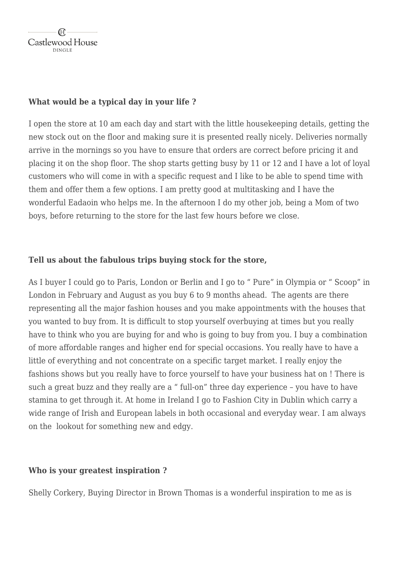## **What would be a typical day in your life ?**

I open the store at 10 am each day and start with the little housekeeping details, getting the new stock out on the floor and making sure it is presented really nicely. Deliveries normally arrive in the mornings so you have to ensure that orders are correct before pricing it and placing it on the shop floor. The shop starts getting busy by 11 or 12 and I have a lot of loyal customers who will come in with a specific request and I like to be able to spend time with them and offer them a few options. I am pretty good at multitasking and I have the wonderful Eadaoin who helps me. In the afternoon I do my other job, being a Mom of two boys, before returning to the store for the last few hours before we close.

#### **Tell us about the fabulous trips buying stock for the store,**

As I buyer I could go to Paris, London or Berlin and I go to " Pure" in Olympia or " Scoop" in London in February and August as you buy 6 to 9 months ahead. The agents are there representing all the major fashion houses and you make appointments with the houses that you wanted to buy from. It is difficult to stop yourself overbuying at times but you really have to think who you are buying for and who is going to buy from you. I buy a combination of more affordable ranges and higher end for special occasions. You really have to have a little of everything and not concentrate on a specific target market. I really enjoy the fashions shows but you really have to force yourself to have your business hat on ! There is such a great buzz and they really are a " full-on" three day experience – you have to have stamina to get through it. At home in Ireland I go to Fashion City in Dublin which carry a wide range of Irish and European labels in both occasional and everyday wear. I am always on the lookout for something new and edgy.

# **Who is your greatest inspiration ?**

Shelly Corkery, Buying Director in Brown Thomas is a wonderful inspiration to me as is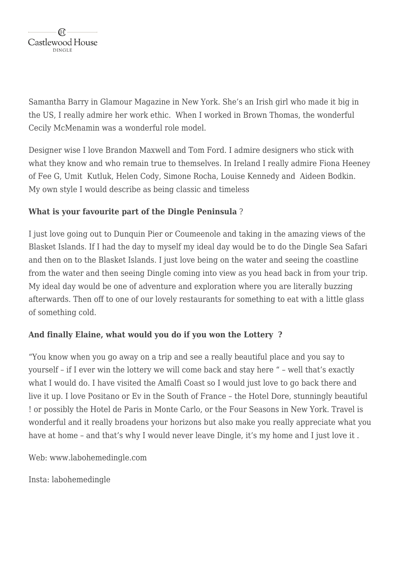Samantha Barry in Glamour Magazine in New York. She's an Irish girl who made it big in the US, I really admire her work ethic. When I worked in Brown Thomas, the wonderful Cecily McMenamin was a wonderful role model.

Designer wise I love Brandon Maxwell and Tom Ford. I admire designers who stick with what they know and who remain true to themselves. In Ireland I really admire Fiona Heeney of Fee G, Umit Kutluk, Helen Cody, Simone Rocha, Louise Kennedy and Aideen Bodkin. My own style I would describe as being classic and timeless

# **What is your favourite part of the Dingle Peninsula** ?

I just love going out to Dunquin Pier or Coumeenole and taking in the amazing views of the Blasket Islands. If I had the day to myself my ideal day would be to do the Dingle Sea Safari and then on to the Blasket Islands. I just love being on the water and seeing the coastline from the water and then seeing Dingle coming into view as you head back in from your trip. My ideal day would be one of adventure and exploration where you are literally buzzing afterwards. Then off to one of our lovely restaurants for something to eat with a little glass of something cold.

# **And finally Elaine, what would you do if you won the Lottery ?**

"You know when you go away on a trip and see a really beautiful place and you say to yourself – if I ever win the lottery we will come back and stay here " – well that's exactly what I would do. I have visited the Amalfi Coast so I would just love to go back there and live it up. I love Positano or Ev in the South of France – the Hotel Dore, stunningly beautiful ! or possibly the Hotel de Paris in Monte Carlo, or the Four Seasons in New York. Travel is wonderful and it really broadens your horizons but also make you really appreciate what you have at home – and that's why I would never leave Dingle, it's my home and I just love it .

Web: www.labohemedingle.com

Insta: labohemedingle